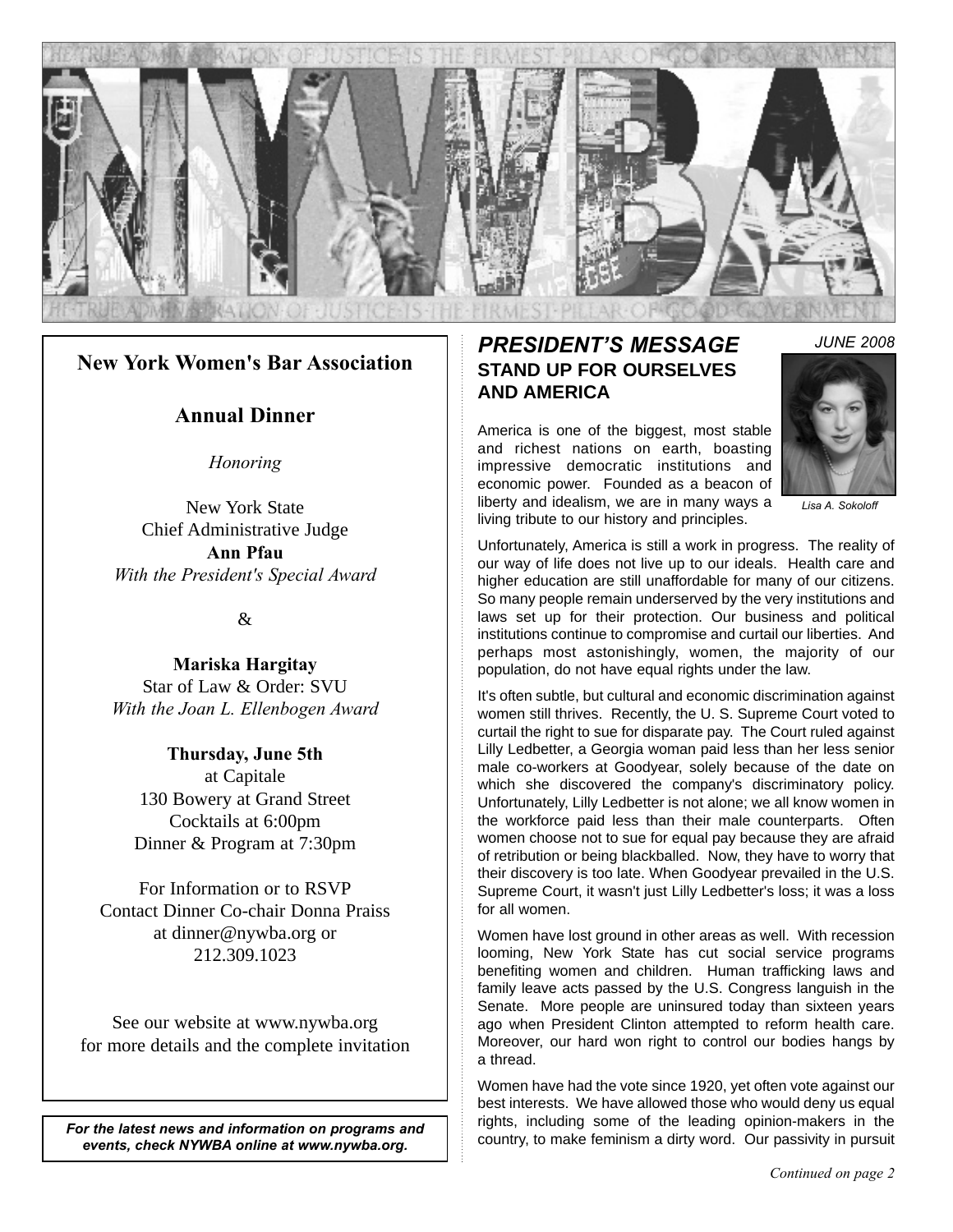

#### **New York Women's Bar Association**

#### **Annual Dinner**

*Honoring*

New York State Chief Administrative Judge **Ann Pfau** *With the President's Special Award*

 $\mathcal{R}$ 

**Mariska Hargitay** Star of Law & Order: SVU *With the Joan L. Ellenbogen Award*

**Thursday, June 5th** at Capitale 130 Bowery at Grand Street Cocktails at 6:00pm Dinner & Program at 7:30pm

For Information or to RSVP Contact Dinner Co-chair Donna Praiss at dinner@nywba.org or 212.309.1023

See our website at www.nywba.org for more details and the complete invitation

*For the latest news and information on programs and events, check NYWBA online at www.nywba.org.*

### *PRESIDENT'S MESSAGE* **STAND UP FOR OURSELVES AND AMERICA**

America is one of the biggest, most stable and richest nations on earth, boasting impressive democratic institutions and economic power. Founded as a beacon of liberty and idealism, we are in many ways a living tribute to our history and principles.



*Lisa A. Sokoloff*

Unfortunately, America is still a work in progress. The reality of our way of life does not live up to our ideals. Health care and higher education are still unaffordable for many of our citizens. So many people remain underserved by the very institutions and laws set up for their protection. Our business and political institutions continue to compromise and curtail our liberties. And perhaps most astonishingly, women, the majority of our population, do not have equal rights under the law.

It's often subtle, but cultural and economic discrimination against women still thrives. Recently, the U. S. Supreme Court voted to curtail the right to sue for disparate pay. The Court ruled against Lilly Ledbetter, a Georgia woman paid less than her less senior male co-workers at Goodyear, solely because of the date on which she discovered the company's discriminatory policy. Unfortunately, Lilly Ledbetter is not alone; we all know women in the workforce paid less than their male counterparts. Often women choose not to sue for equal pay because they are afraid of retribution or being blackballed. Now, they have to worry that their discovery is too late. When Goodyear prevailed in the U.S. Supreme Court, it wasn't just Lilly Ledbetter's loss; it was a loss for all women.

Women have lost ground in other areas as well. With recession looming, New York State has cut social service programs benefiting women and children. Human trafficking laws and family leave acts passed by the U.S. Congress languish in the Senate. More people are uninsured today than sixteen years ago when President Clinton attempted to reform health care. Moreover, our hard won right to control our bodies hangs by a thread.

Women have had the vote since 1920, yet often vote against our best interests. We have allowed those who would deny us equal rights, including some of the leading opinion-makers in the country, to make feminism a dirty word. Our passivity in pursuit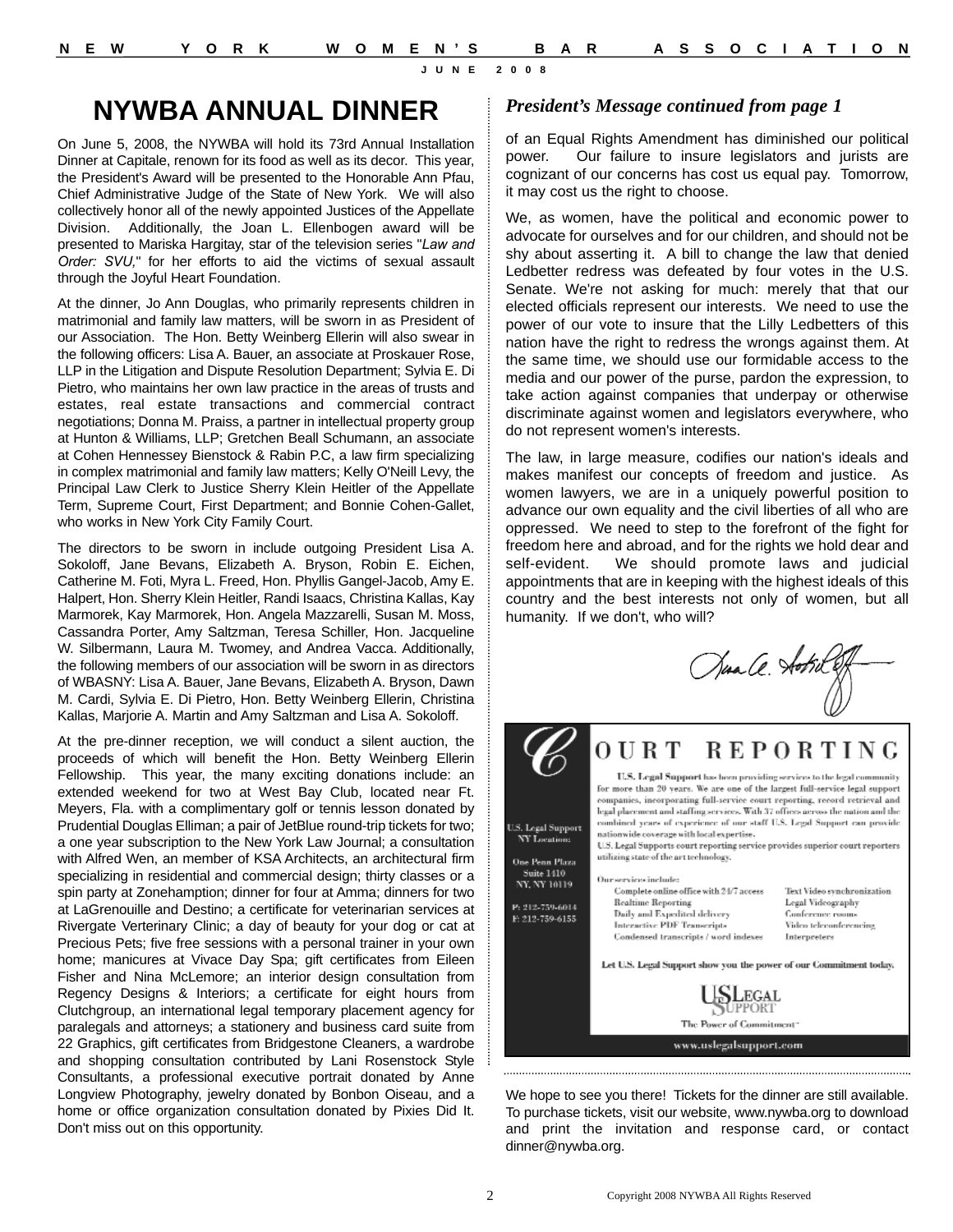# **NYWBA ANNUAL DINNER**

On June 5, 2008, the NYWBA will hold its 73rd Annual Installation Dinner at Capitale, renown for its food as well as its decor. This year, the President's Award will be presented to the Honorable Ann Pfau, Chief Administrative Judge of the State of New York. We will also collectively honor all of the newly appointed Justices of the Appellate Division. Additionally, the Joan L. Ellenbogen award will be presented to Mariska Hargitay, star of the television series "*Law and Order: SVU,*" for her efforts to aid the victims of sexual assault through the Joyful Heart Foundation.

At the dinner, Jo Ann Douglas, who primarily represents children in matrimonial and family law matters, will be sworn in as President of our Association. The Hon. Betty Weinberg Ellerin will also swear in the following officers: Lisa A. Bauer, an associate at Proskauer Rose, LLP in the Litigation and Dispute Resolution Department; Sylvia E. Di Pietro, who maintains her own law practice in the areas of trusts and estates, real estate transactions and commercial contract negotiations; Donna M. Praiss, a partner in intellectual property group at Hunton & Williams, LLP; Gretchen Beall Schumann, an associate at Cohen Hennessey Bienstock & Rabin P.C, a law firm specializing in complex matrimonial and family law matters; Kelly O'Neill Levy, the Principal Law Clerk to Justice Sherry Klein Heitler of the Appellate Term, Supreme Court, First Department; and Bonnie Cohen-Gallet, who works in New York City Family Court.

The directors to be sworn in include outgoing President Lisa A. Sokoloff, Jane Bevans, Elizabeth A. Bryson, Robin E. Eichen, Catherine M. Foti, Myra L. Freed, Hon. Phyllis Gangel-Jacob, Amy E. Halpert, Hon. Sherry Klein Heitler, Randi Isaacs, Christina Kallas, Kay Marmorek, Kay Marmorek, Hon. Angela Mazzarelli, Susan M. Moss, Cassandra Porter, Amy Saltzman, Teresa Schiller, Hon. Jacqueline W. Silbermann, Laura M. Twomey, and Andrea Vacca. Additionally, the following members of our association will be sworn in as directors of WBASNY: Lisa A. Bauer, Jane Bevans, Elizabeth A. Bryson, Dawn M. Cardi, Sylvia E. Di Pietro, Hon. Betty Weinberg Ellerin, Christina Kallas, Marjorie A. Martin and Amy Saltzman and Lisa A. Sokoloff.

At the pre-dinner reception, we will conduct a silent auction, the proceeds of which will benefit the Hon. Betty Weinberg Ellerin Fellowship. This year, the many exciting donations include: an extended weekend for two at West Bay Club, located near Ft. Meyers, Fla. with a complimentary golf or tennis lesson donated by Prudential Douglas Elliman; a pair of JetBlue round-trip tickets for two; a one year subscription to the New York Law Journal; a consultation with Alfred Wen, an member of KSA Architects, an architectural firm specializing in residential and commercial design; thirty classes or a spin party at Zonehamption; dinner for four at Amma; dinners for two at LaGrenouille and Destino; a certificate for veterinarian services at Rivergate Verterinary Clinic; a day of beauty for your dog or cat at Precious Pets; five free sessions with a personal trainer in your own home; manicures at Vivace Day Spa; gift certificates from Eileen Fisher and Nina McLemore; an interior design consultation from Regency Designs & Interiors; a certificate for eight hours from Clutchgroup, an international legal temporary placement agency for paralegals and attorneys; a stationery and business card suite from 22 Graphics, gift certificates from Bridgestone Cleaners, a wardrobe and shopping consultation contributed by Lani Rosenstock Style Consultants, a professional executive portrait donated by Anne Longview Photography, jewelry donated by Bonbon Oiseau, and a home or office organization consultation donated by Pixies Did It. Don't miss out on this opportunity.

#### *President's Message continued from page 1*

of an Equal Rights Amendment has diminished our political power. Our failure to insure legislators and jurists are cognizant of our concerns has cost us equal pay. Tomorrow, it may cost us the right to choose.

We, as women, have the political and economic power to advocate for ourselves and for our children, and should not be shy about asserting it. A bill to change the law that denied Ledbetter redress was defeated by four votes in the U.S. Senate. We're not asking for much: merely that that our elected officials represent our interests. We need to use the power of our vote to insure that the Lilly Ledbetters of this nation have the right to redress the wrongs against them. At the same time, we should use our formidable access to the media and our power of the purse, pardon the expression, to take action against companies that underpay or otherwise discriminate against women and legislators everywhere, who do not represent women's interests.

The law, in large measure, codifies our nation's ideals and makes manifest our concepts of freedom and justice. As women lawyers, we are in a uniquely powerful position to advance our own equality and the civil liberties of all who are oppressed. We need to step to the forefront of the fight for freedom here and abroad, and for the rights we hold dear and self-evident. We should promote laws and judicial appointments that are in keeping with the highest ideals of this country and the best interests not only of women, but all humanity. If we don't, who will?

Sua Ce. Aotril E



We hope to see you there! Tickets for the dinner are still available. To purchase tickets, visit our website, www.nywba.org to download and print the invitation and response card, or contact dinner@nywba.org.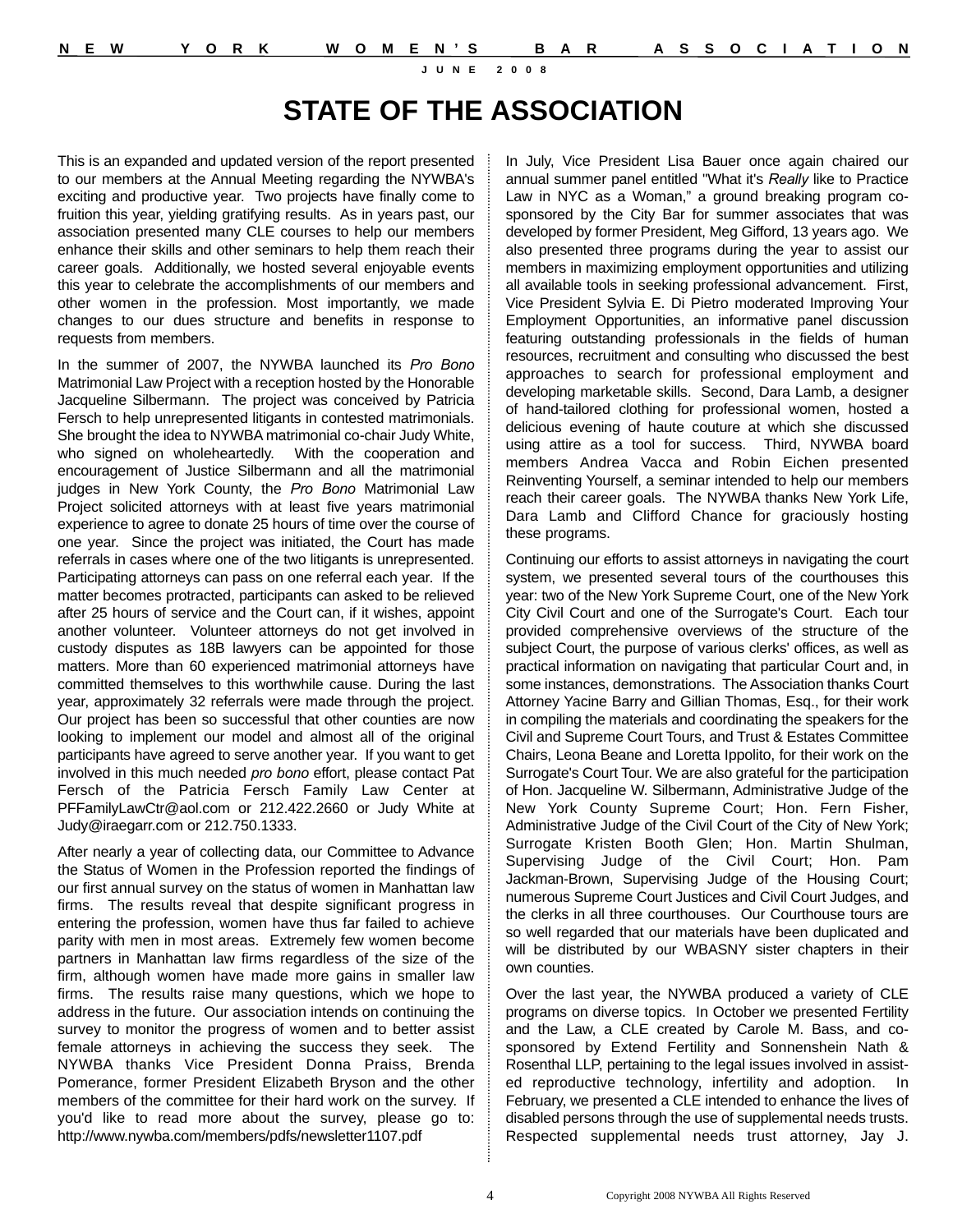# **STATE OF THE ASSOCIATION**

This is an expanded and updated version of the report presented to our members at the Annual Meeting regarding the NYWBA's exciting and productive year. Two projects have finally come to fruition this year, yielding gratifying results. As in years past, our association presented many CLE courses to help our members enhance their skills and other seminars to help them reach their career goals. Additionally, we hosted several enjoyable events this year to celebrate the accomplishments of our members and other women in the profession. Most importantly, we made changes to our dues structure and benefits in response to requests from members.

In the summer of 2007, the NYWBA launched its *Pro Bono*  Matrimonial Law Project with a reception hosted by the Honorable Jacqueline Silbermann. The project was conceived by Patricia Fersch to help unrepresented litigants in contested matrimonials. She brought the idea to NYWBA matrimonial co-chair Judy White, who signed on wholeheartedly. With the cooperation and encouragement of Justice Silbermann and all the matrimonial judges in New York County, the *Pro Bono* Matrimonial Law Project solicited attorneys with at least five years matrimonial experience to agree to donate 25 hours of time over the course of one year. Since the project was initiated, the Court has made referrals in cases where one of the two litigants is unrepresented. Participating attorneys can pass on one referral each year. If the matter becomes protracted, participants can asked to be relieved after 25 hours of service and the Court can, if it wishes, appoint another volunteer. Volunteer attorneys do not get involved in custody disputes as 18B lawyers can be appointed for those matters. More than 60 experienced matrimonial attorneys have committed themselves to this worthwhile cause. During the last year, approximately 32 referrals were made through the project. Our project has been so successful that other counties are now looking to implement our model and almost all of the original participants have agreed to serve another year. If you want to get involved in this much needed *pro bono* effort, please contact Pat Fersch of the Patricia Fersch Family Law Center at PFFamilyLawCtr@aol.com or 212.422.2660 or Judy White at Judy@iraegarr.com or 212.750.1333.

After nearly a year of collecting data, our Committee to Advance the Status of Women in the Profession reported the findings of our first annual survey on the status of women in Manhattan law firms. The results reveal that despite significant progress in entering the profession, women have thus far failed to achieve parity with men in most areas. Extremely few women become partners in Manhattan law firms regardless of the size of the firm, although women have made more gains in smaller law firms. The results raise many questions, which we hope to address in the future. Our association intends on continuing the survey to monitor the progress of women and to better assist female attorneys in achieving the success they seek. The NYWBA thanks Vice President Donna Praiss, Brenda Pomerance, former President Elizabeth Bryson and the other members of the committee for their hard work on the survey. If you'd like to read more about the survey, please go to: http://www.nywba.com/members/pdfs/newsletter1107.pdf

In July, Vice President Lisa Bauer once again chaired our annual summer panel entitled "What it's *Really* like to Practice Law in NYC as a Woman," a ground breaking program cosponsored by the City Bar for summer associates that was developed by former President, Meg Gifford, 13 years ago. We also presented three programs during the year to assist our members in maximizing employment opportunities and utilizing all available tools in seeking professional advancement. First, Vice President Sylvia E. Di Pietro moderated Improving Your Employment Opportunities, an informative panel discussion featuring outstanding professionals in the fields of human resources, recruitment and consulting who discussed the best approaches to search for professional employment and developing marketable skills. Second, Dara Lamb, a designer of hand-tailored clothing for professional women, hosted a delicious evening of haute couture at which she discussed using attire as a tool for success. Third, NYWBA board members Andrea Vacca and Robin Eichen presented Reinventing Yourself, a seminar intended to help our members reach their career goals. The NYWBA thanks New York Life, Dara Lamb and Clifford Chance for graciously hosting these programs.

Continuing our efforts to assist attorneys in navigating the court system, we presented several tours of the courthouses this year: two of the New York Supreme Court, one of the New York City Civil Court and one of the Surrogate's Court. Each tour provided comprehensive overviews of the structure of the subject Court, the purpose of various clerks' offices, as well as practical information on navigating that particular Court and, in some instances, demonstrations. The Association thanks Court Attorney Yacine Barry and Gillian Thomas, Esq., for their work in compiling the materials and coordinating the speakers for the Civil and Supreme Court Tours, and Trust & Estates Committee Chairs, Leona Beane and Loretta Ippolito, for their work on the Surrogate's Court Tour. We are also grateful for the participation of Hon. Jacqueline W. Silbermann, Administrative Judge of the New York County Supreme Court; Hon. Fern Fisher, Administrative Judge of the Civil Court of the City of New York; Surrogate Kristen Booth Glen; Hon. Martin Shulman, Supervising Judge of the Civil Court; Hon. Pam Jackman-Brown, Supervising Judge of the Housing Court; numerous Supreme Court Justices and Civil Court Judges, and the clerks in all three courthouses. Our Courthouse tours are so well regarded that our materials have been duplicated and will be distributed by our WBASNY sister chapters in their own counties.

Over the last year, the NYWBA produced a variety of CLE programs on diverse topics. In October we presented Fertility and the Law, a CLE created by Carole M. Bass, and cosponsored by Extend Fertility and Sonnenshein Nath & Rosenthal LLP, pertaining to the legal issues involved in assisted reproductive technology, infertility and adoption. In February, we presented a CLE intended to enhance the lives of disabled persons through the use of supplemental needs trusts. Respected supplemental needs trust attorney, Jay J.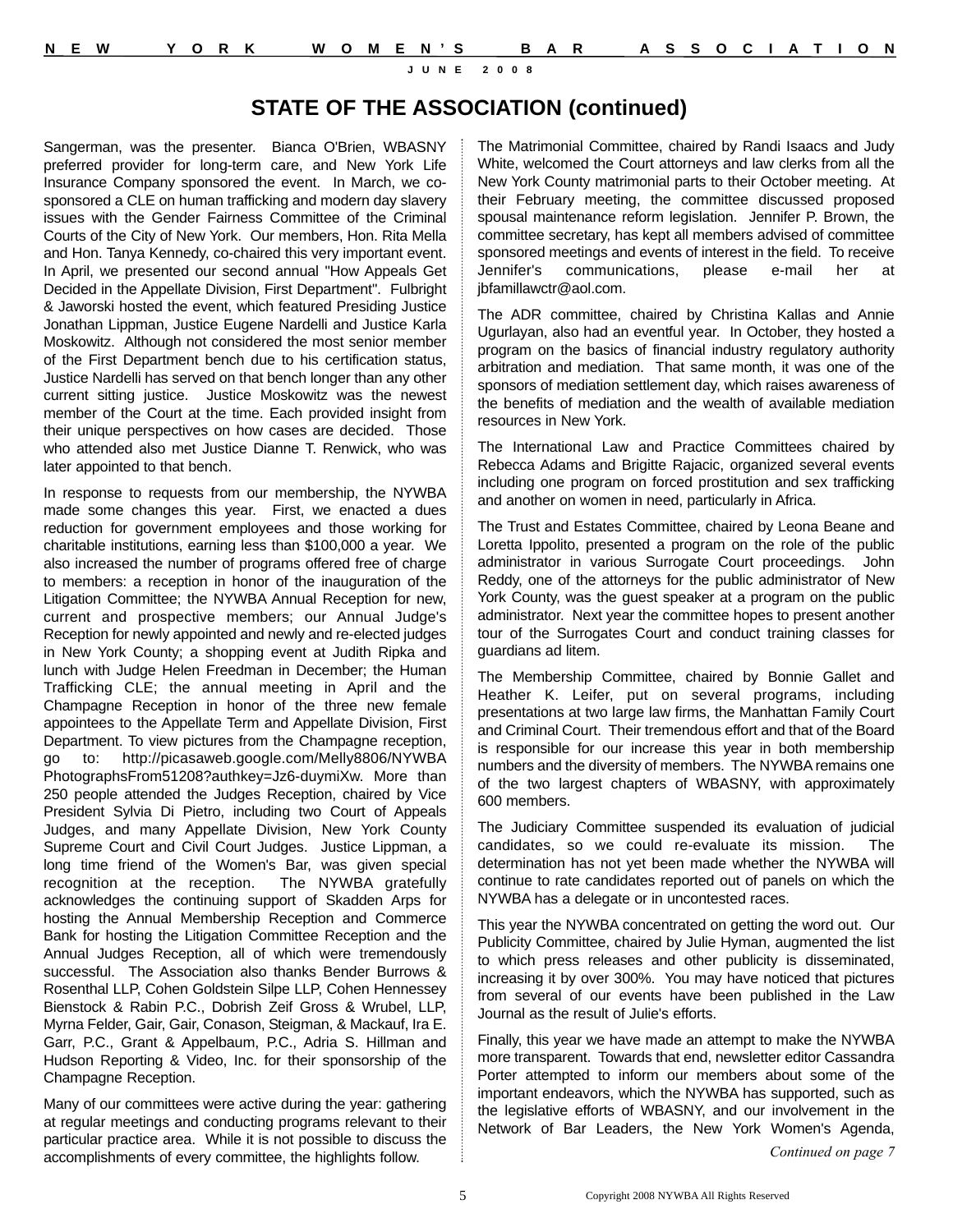## **STATE OF THE ASSOCIATION (continued)**

Sangerman, was the presenter. Bianca O'Brien, WBASNY preferred provider for long-term care, and New York Life Insurance Company sponsored the event. In March, we cosponsored a CLE on human trafficking and modern day slavery issues with the Gender Fairness Committee of the Criminal Courts of the City of New York. Our members, Hon. Rita Mella and Hon. Tanya Kennedy, co-chaired this very important event. In April, we presented our second annual "How Appeals Get Decided in the Appellate Division, First Department". Fulbright & Jaworski hosted the event, which featured Presiding Justice Jonathan Lippman, Justice Eugene Nardelli and Justice Karla Moskowitz. Although not considered the most senior member of the First Department bench due to his certification status, Justice Nardelli has served on that bench longer than any other current sitting justice. Justice Moskowitz was the newest member of the Court at the time. Each provided insight from their unique perspectives on how cases are decided. Those who attended also met Justice Dianne T. Renwick, who was later appointed to that bench.

In response to requests from our membership, the NYWBA made some changes this year. First, we enacted a dues reduction for government employees and those working for charitable institutions, earning less than \$100,000 a year. We also increased the number of programs offered free of charge to members: a reception in honor of the inauguration of the Litigation Committee; the NYWBA Annual Reception for new, current and prospective members; our Annual Judge's Reception for newly appointed and newly and re-elected judges in New York County; a shopping event at Judith Ripka and lunch with Judge Helen Freedman in December; the Human Trafficking CLE; the annual meeting in April and the Champagne Reception in honor of the three new female appointees to the Appellate Term and Appellate Division, First Department. To view pictures from the Champagne reception, go to: http://picasaweb.google.com/Melly8806/NYWBA PhotographsFrom51208?authkey=Jz6-duymiXw. More than 250 people attended the Judges Reception, chaired by Vice President Sylvia Di Pietro, including two Court of Appeals Judges, and many Appellate Division, New York County Supreme Court and Civil Court Judges. Justice Lippman, a long time friend of the Women's Bar, was given special recognition at the reception. The NYWBA gratefully acknowledges the continuing support of Skadden Arps for hosting the Annual Membership Reception and Commerce Bank for hosting the Litigation Committee Reception and the Annual Judges Reception, all of which were tremendously successful. The Association also thanks Bender Burrows & Rosenthal LLP, Cohen Goldstein Silpe LLP, Cohen Hennessey Bienstock & Rabin P.C., Dobrish Zeif Gross & Wrubel, LLP, Myrna Felder, Gair, Gair, Conason, Steigman, & Mackauf, Ira E. Garr, P.C., Grant & Appelbaum, P.C., Adria S. Hillman and Hudson Reporting & Video, Inc. for their sponsorship of the Champagne Reception.

Many of our committees were active during the year: gathering at regular meetings and conducting programs relevant to their particular practice area. While it is not possible to discuss the accomplishments of every committee, the highlights follow.

The Matrimonial Committee, chaired by Randi Isaacs and Judy White, welcomed the Court attorneys and law clerks from all the New York County matrimonial parts to their October meeting. At their February meeting, the committee discussed proposed spousal maintenance reform legislation. Jennifer P. Brown, the committee secretary, has kept all members advised of committee sponsored meetings and events of interest in the field. To receive Jennifer's communications, please e-mail her at jbfamillawctr@aol.com.

The ADR committee, chaired by Christina Kallas and Annie Ugurlayan, also had an eventful year. In October, they hosted a program on the basics of financial industry regulatory authority arbitration and mediation. That same month, it was one of the sponsors of mediation settlement day, which raises awareness of the benefits of mediation and the wealth of available mediation resources in New York.

The International Law and Practice Committees chaired by Rebecca Adams and Brigitte Rajacic, organized several events including one program on forced prostitution and sex trafficking and another on women in need, particularly in Africa.

The Trust and Estates Committee, chaired by Leona Beane and Loretta Ippolito, presented a program on the role of the public administrator in various Surrogate Court proceedings. John Reddy, one of the attorneys for the public administrator of New York County, was the guest speaker at a program on the public administrator. Next year the committee hopes to present another tour of the Surrogates Court and conduct training classes for guardians ad litem.

The Membership Committee, chaired by Bonnie Gallet and Heather K. Leifer, put on several programs, including presentations at two large law firms, the Manhattan Family Court and Criminal Court. Their tremendous effort and that of the Board is responsible for our increase this year in both membership numbers and the diversity of members. The NYWBA remains one of the two largest chapters of WBASNY, with approximately 600 members.

The Judiciary Committee suspended its evaluation of judicial candidates, so we could re-evaluate its mission. The determination has not yet been made whether the NYWBA will continue to rate candidates reported out of panels on which the NYWBA has a delegate or in uncontested races.

This year the NYWBA concentrated on getting the word out. Our Publicity Committee, chaired by Julie Hyman, augmented the list to which press releases and other publicity is disseminated, increasing it by over 300%. You may have noticed that pictures from several of our events have been published in the Law Journal as the result of Julie's efforts.

Finally, this year we have made an attempt to make the NYWBA more transparent. Towards that end, newsletter editor Cassandra Porter attempted to inform our members about some of the important endeavors, which the NYWBA has supported, such as the legislative efforts of WBASNY, and our involvement in the Network of Bar Leaders, the New York Women's Agenda,

*Continued on page 7*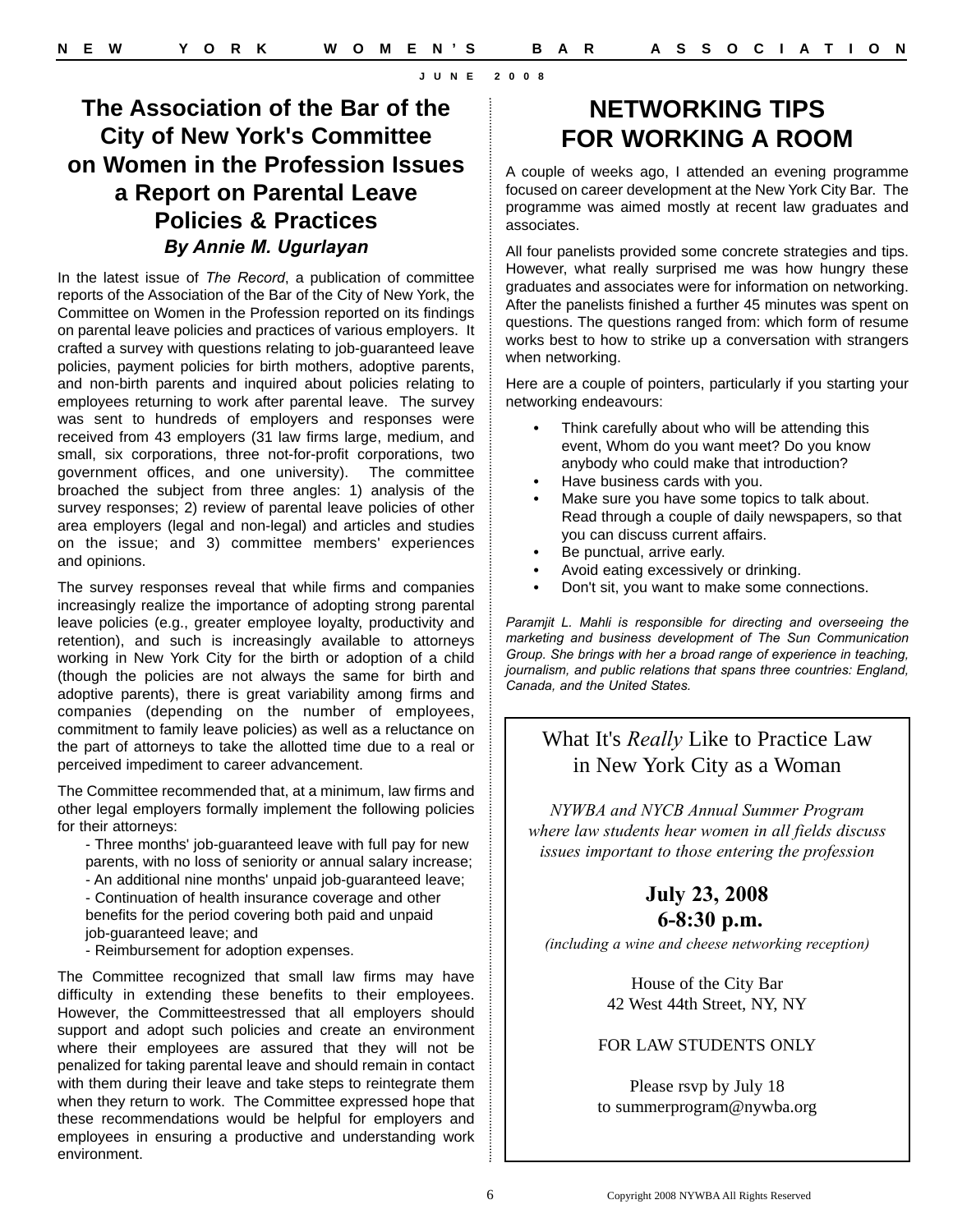# **The Association of the Bar of the City of New York's Committee on Women in the Profession Issues a Report on Parental Leave Policies & Practices** *By Annie M. Ugurlayan*

In the latest issue of *The Record*, a publication of committee reports of the Association of the Bar of the City of New York, the Committee on Women in the Profession reported on its findings on parental leave policies and practices of various employers. It crafted a survey with questions relating to job-guaranteed leave policies, payment policies for birth mothers, adoptive parents, and non-birth parents and inquired about policies relating to employees returning to work after parental leave. The survey was sent to hundreds of employers and responses were received from 43 employers (31 law firms large, medium, and small, six corporations, three not-for-profit corporations, two government offices, and one university). The committee broached the subject from three angles: 1) analysis of the survey responses; 2) review of parental leave policies of other area employers (legal and non-legal) and articles and studies on the issue; and 3) committee members' experiences and opinions.

The survey responses reveal that while firms and companies increasingly realize the importance of adopting strong parental leave policies (e.g., greater employee loyalty, productivity and retention), and such is increasingly available to attorneys working in New York City for the birth or adoption of a child (though the policies are not always the same for birth and adoptive parents), there is great variability among firms and companies (depending on the number of employees, commitment to family leave policies) as well as a reluctance on the part of attorneys to take the allotted time due to a real or perceived impediment to career advancement.

The Committee recommended that, at a minimum, law firms and other legal employers formally implement the following policies for their attorneys:

- Three months' job-guaranteed leave with full pay for new parents, with no loss of seniority or annual salary increase;
- An additional nine months' unpaid job-guaranteed leave;
- Continuation of health insurance coverage and other benefits for the period covering both paid and unpaid job-guaranteed leave; and
- Reimbursement for adoption expenses.

The Committee recognized that small law firms may have difficulty in extending these benefits to their employees. However, the Committeestressed that all employers should support and adopt such policies and create an environment where their employees are assured that they will not be penalized for taking parental leave and should remain in contact with them during their leave and take steps to reintegrate them when they return to work. The Committee expressed hope that these recommendations would be helpful for employers and employees in ensuring a productive and understanding work environment.

# **NETWORKING TIPS FOR WORKING A ROOM**

A couple of weeks ago, I attended an evening programme focused on career development at the New York City Bar. The programme was aimed mostly at recent law graduates and associates.

All four panelists provided some concrete strategies and tips. However, what really surprised me was how hungry these graduates and associates were for information on networking. After the panelists finished a further 45 minutes was spent on questions. The questions ranged from: which form of resume works best to how to strike up a conversation with strangers when networking.

Here are a couple of pointers, particularly if you starting your networking endeavours:

- **•** Think carefully about who will be attending this event, Whom do you want meet? Do you know anybody who could make that introduction?
- **•** Have business cards with you.
- **•** Make sure you have some topics to talk about. Read through a couple of daily newspapers, so that you can discuss current affairs.
- **•** Be punctual, arrive early.
- **•** Avoid eating excessively or drinking.
- **•** Don't sit, you want to make some connections.

*Paramjit L. Mahli is responsible for directing and overseeing the marketing and business development of The Sun Communication Group. She brings with her a broad range of experience in teaching, journalism, and public relations that spans three countries: England, Canada, and the United States.*

## What It's *Really* Like to Practice Law in New York City as a Woman

*NYWBA and NYCB Annual Summer Program where law students hear women in all fields discuss issues important to those entering the profession*

#### **July 23, 2008 6-8:30 p.m.**

*(including a wine and cheese networking reception)*

House of the City Bar 42 West 44th Street, NY, NY

#### FOR LAW STUDENTS ONLY

Please rsvp by July 18 to summerprogram@nywba.org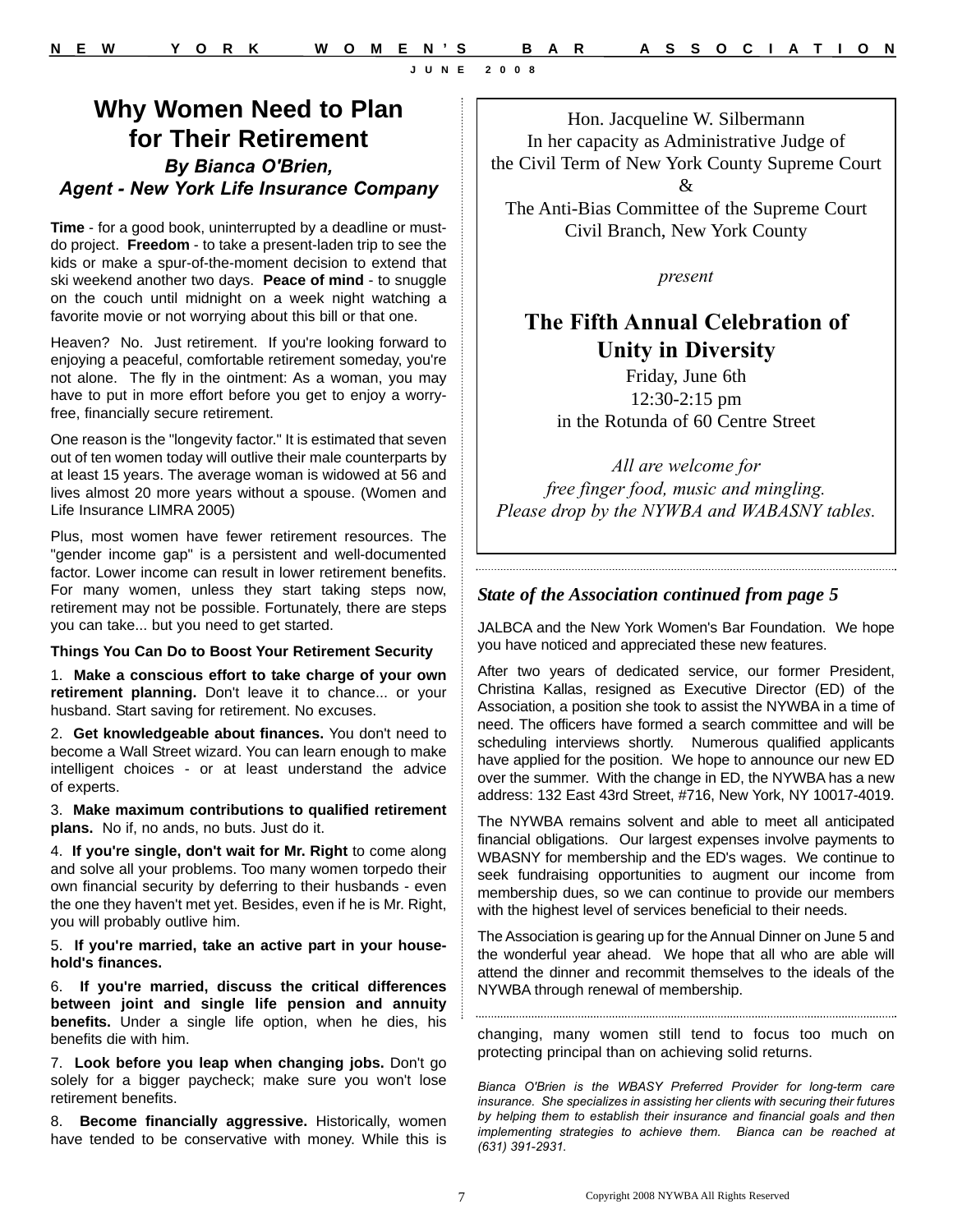**for Their Retirement** *By Bianca O'Brien, Agent - New York Life Insurance Company*

**Why Women Need to Plan** 

**Time** - for a good book, uninterrupted by a deadline or mustdo project. **Freedom** - to take a present-laden trip to see the kids or make a spur-of-the-moment decision to extend that ski weekend another two days. **Peace of mind** - to snuggle on the couch until midnight on a week night watching a favorite movie or not worrying about this bill or that one.

Heaven? No. Just retirement. If you're looking forward to enjoying a peaceful, comfortable retirement someday, you're not alone. The fly in the ointment: As a woman, you may have to put in more effort before you get to enjoy a worryfree, financially secure retirement.

One reason is the "longevity factor." It is estimated that seven out of ten women today will outlive their male counterparts by at least 15 years. The average woman is widowed at 56 and lives almost 20 more years without a spouse. (Women and Life Insurance LIMRA 2005)

Plus, most women have fewer retirement resources. The "gender income gap" is a persistent and well-documented factor. Lower income can result in lower retirement benefits. For many women, unless they start taking steps now, retirement may not be possible. Fortunately, there are steps you can take... but you need to get started.

#### **Things You Can Do to Boost Your Retirement Security**

1. **Make a conscious effort to take charge of your own retirement planning.** Don't leave it to chance... or your husband. Start saving for retirement. No excuses.

2. **Get knowledgeable about finances.** You don't need to become a Wall Street wizard. You can learn enough to make intelligent choices - or at least understand the advice of experts.

3. **Make maximum contributions to qualified retirement plans.** No if, no ands, no buts. Just do it.

4. **If you're single, don't wait for Mr. Right** to come along and solve all your problems. Too many women torpedo their own financial security by deferring to their husbands - even the one they haven't met yet. Besides, even if he is Mr. Right, you will probably outlive him.

5. **If you're married, take an active part in your household's finances.** 

6. **If you're married, discuss the critical differences between joint and single life pension and annuity benefits.** Under a single life option, when he dies, his benefits die with him.

7. **Look before you leap when changing jobs.** Don't go solely for a bigger paycheck; make sure you won't lose retirement benefits.

8. **Become financially aggressive.** Historically, women have tended to be conservative with money. While this is

Hon. Jacqueline W. Silbermann In her capacity as Administrative Judge of the Civil Term of New York County Supreme Court &

The Anti-Bias Committee of the Supreme Court Civil Branch, New York County

*present*

# **The Fifth Annual Celebration of Unity in Diversity**

Friday, June 6th 12:30-2:15 pm in the Rotunda of 60 Centre Street

*All are welcome for free finger food, music and mingling. Please drop by the NYWBA and WABASNY tables.*

#### *State of the Association continued from page 5*

JALBCA and the New York Women's Bar Foundation. We hope you have noticed and appreciated these new features.

After two years of dedicated service, our former President, Christina Kallas, resigned as Executive Director (ED) of the Association, a position she took to assist the NYWBA in a time of need. The officers have formed a search committee and will be scheduling interviews shortly. Numerous qualified applicants have applied for the position. We hope to announce our new ED over the summer. With the change in ED, the NYWBA has a new address: 132 East 43rd Street, #716, New York, NY 10017-4019.

The NYWBA remains solvent and able to meet all anticipated financial obligations. Our largest expenses involve payments to WBASNY for membership and the ED's wages. We continue to seek fundraising opportunities to augment our income from membership dues, so we can continue to provide our members with the highest level of services beneficial to their needs.

The Association is gearing up for the Annual Dinner on June 5 and the wonderful year ahead. We hope that all who are able will attend the dinner and recommit themselves to the ideals of the NYWBA through renewal of membership.

changing, many women still tend to focus too much on protecting principal than on achieving solid returns.

*Bianca O'Brien is the WBASY Preferred Provider for long-term care insurance. She specializes in assisting her clients with securing their futures by helping them to establish their insurance and financial goals and then implementing strategies to achieve them. Bianca can be reached at (631) 391-2931.*